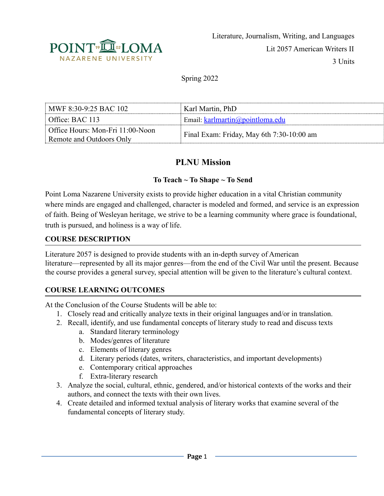

Spring 2022

| MWF 8:30-9:25 BAC 102            | Karl Martin, PhD                          |
|----------------------------------|-------------------------------------------|
| Office: BAC 113                  | Email: karlmartin@pointloma.edu           |
| Office Hours: Mon-Fri 11:00-Noon | Final Exam: Friday, May 6th 7:30-10:00 am |
| Remote and Outdoors Only         |                                           |

# **PLNU Mission**

### **To Teach ~ To Shape ~ To Send**

Point Loma Nazarene University exists to provide higher education in a vital Christian community where minds are engaged and challenged, character is modeled and formed, and service is an expression of faith. Being of Wesleyan heritage, we strive to be a learning community where grace is foundational, truth is pursued, and holiness is a way of life.

#### **COURSE DESCRIPTION**

Literature 2057 is designed to provide students with an in-depth survey of American literature—represented by all its major genres—from the end of the Civil War until the present. Because the course provides a general survey, special attention will be given to the literature's cultural context.

### **COURSE LEARNING OUTCOMES**

At the Conclusion of the Course Students will be able to:

- 1. Closely read and critically analyze texts in their original languages and/or in translation.
- 2. Recall, identify, and use fundamental concepts of literary study to read and discuss texts
	- a. Standard literary terminology
	- b. Modes/genres of literature
	- c. Elements of literary genres
	- d. Literary periods (dates, writers, characteristics, and important developments)
	- e. Contemporary critical approaches
	- f. Extra-literary research
- 3. Analyze the social, cultural, ethnic, gendered, and/or historical contexts of the works and their authors, and connect the texts with their own lives.
- 4. Create detailed and informed textual analysis of literary works that examine several of the fundamental concepts of literary study.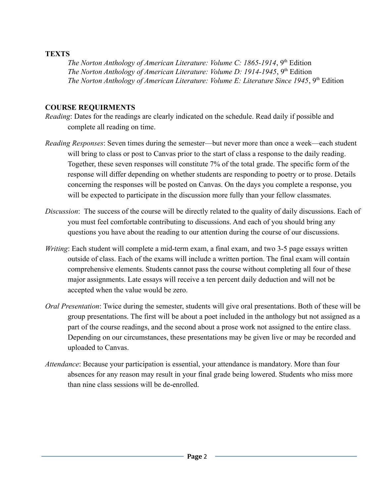#### **TEXTS**

*The Norton Anthology of American Literature: Volume C: 1865-1914*, 9th Edition *The Norton Anthology of American Literature: Volume D: 1914-1945*, 9<sup>th</sup> Edition *The Norton Anthology of American Literature: Volume E: Literature Since 1945*, 9<sup>th</sup> Edition

#### **COURSE REQUIRMENTS**

- *Reading*: Dates for the readings are clearly indicated on the schedule. Read daily if possible and complete all reading on time.
- *Reading Responses*: Seven times during the semester—but never more than once a week—each student will bring to class or post to Canvas prior to the start of class a response to the daily reading. Together, these seven responses will constitute 7% of the total grade. The specific form of the response will differ depending on whether students are responding to poetry or to prose. Details concerning the responses will be posted on Canvas. On the days you complete a response, you will be expected to participate in the discussion more fully than your fellow classmates.
- *Discussion*: The success of the course will be directly related to the quality of daily discussions. Each of you must feel comfortable contributing to discussions. And each of you should bring any questions you have about the reading to our attention during the course of our discussions.
- *Writing*: Each student will complete a mid-term exam, a final exam, and two 3-5 page essays written outside of class. Each of the exams will include a written portion. The final exam will contain comprehensive elements. Students cannot pass the course without completing all four of these major assignments. Late essays will receive a ten percent daily deduction and will not be accepted when the value would be zero.
- *Oral Presentation*: Twice during the semester, students will give oral presentations. Both of these will be group presentations. The first will be about a poet included in the anthology but not assigned as a part of the course readings, and the second about a prose work not assigned to the entire class. Depending on our circumstances, these presentations may be given live or may be recorded and uploaded to Canvas.
- *Attendance*: Because your participation is essential, your attendance is mandatory. More than four absences for any reason may result in your final grade being lowered. Students who miss more than nine class sessions will be de-enrolled.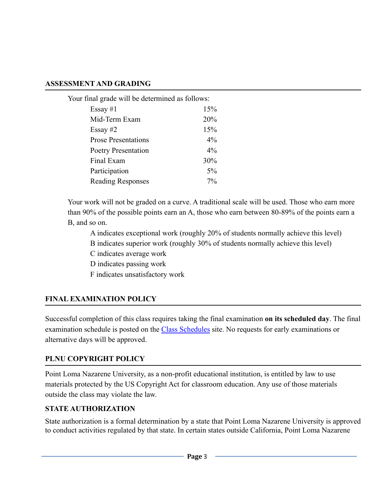#### **ASSESSMENT AND GRADING**

| Your final grade will be determined as follows: |       |
|-------------------------------------------------|-------|
| Essay $#1$                                      | 15%   |
| Mid-Term Exam                                   | 20%   |
| Essay $#2$                                      | 15%   |
| <b>Prose Presentations</b>                      | $4\%$ |
| <b>Poetry Presentation</b>                      | $4\%$ |
| Final Exam                                      | 30%   |
| Participation                                   | $5\%$ |
| <b>Reading Responses</b>                        | 7%    |
|                                                 |       |

Your work will not be graded on a curve. A traditional scale will be used. Those who earn more than 90% of the possible points earn an A, those who earn between 80-89% of the points earn a B, and so on.

A indicates exceptional work (roughly 20% of students normally achieve this level)

B indicates superior work (roughly 30% of students normally achieve this level)

C indicates average work

D indicates passing work

F indicates unsatisfactory work

## **FINAL EXAMINATION POLICY**

Successful completion of this class requires taking the final examination **on its scheduled day**. The final examination schedule is posted on the [Class Schedules](http://www.pointloma.edu/experience/academics/class-schedules) site. No requests for early examinations or alternative days will be approved.

### **PLNU COPYRIGHT POLICY**

Point Loma Nazarene University, as a non-profit educational institution, is entitled by law to use materials protected by the US Copyright Act for classroom education. Any use of those materials outside the class may violate the law.

## **STATE AUTHORIZATION**

State authorization is a formal determination by a state that Point Loma Nazarene University is approved to conduct activities regulated by that state. In certain states outside California, Point Loma Nazarene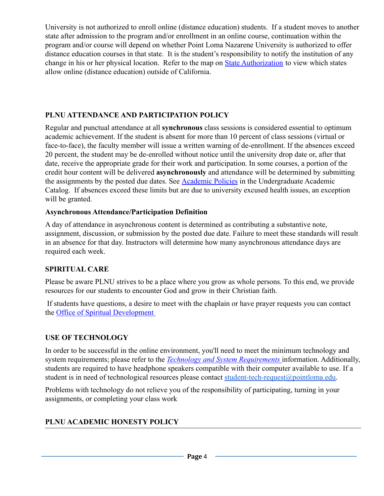University is not authorized to enroll online (distance education) students. If a student moves to another state after admission to the program and/or enrollment in an online course, continuation within the program and/or course will depend on whether Point Loma Nazarene University is authorized to offer distance education courses in that state. It is the student's responsibility to notify the institution of any change in his or her physical location. Refer to the map on [State Authorization](https://www.pointloma.edu/offices/office-institutional-effectiveness-research/disclosures) to view which states allow online (distance education) outside of California.

## **PLNU ATTENDANCE AND PARTICIPATION POLICY**

Regular and punctual attendance at all **synchronous** class sessions is considered essential to optimum academic achievement. If the student is absent for more than 10 percent of class sessions (virtual or face-to-face), the faculty member will issue a written warning of de-enrollment. If the absences exceed 20 percent, the student may be de-enrolled without notice until the university drop date or, after that date, receive the appropriate grade for their work and participation. In some courses, a portion of the credit hour content will be delivered **asynchronously** and attendance will be determined by submitting the assignments by the posted due dates. See [Academic](https://catalog.pointloma.edu/content.php?catoid=46&navoid=2650#Class_Attendance) Policies in the Undergraduate Academic Catalog. If absences exceed these limits but are due to university excused health issues, an exception will be granted.

## **Asynchronous Attendance/Participation Definition**

A day of attendance in asynchronous content is determined as contributing a substantive note, assignment, discussion, or submission by the posted due date. Failure to meet these standards will result in an absence for that day. Instructors will determine how many asynchronous attendance days are required each week.

## **SPIRITUAL CARE**

Please be aware PLNU strives to be a place where you grow as whole persons. To this end, we provide resources for our students to encounter God and grow in their Christian faith.

If students have questions, a desire to meet with the chaplain or have prayer requests you can contact the [Office of Spiritual Development](https://www.pointloma.edu/offices/spiritual-development)

## **USE OF TECHNOLOGY**

In order to be successful in the online environment, you'll need to meet the minimum technology and system requirements; please refer to the *Technology [and System Requirements](https://help.pointloma.edu/TDClient/1808/Portal/KB/ArticleDet?ID=108349)* information. Additionally, students are required to have headphone speakers compatible with their computer available to use. If a student is in need of technological resources please contact [student-tech-request@pointloma.edu.](mailto:student-tech-request@pointloma.edu)

Problems with technology do not relieve you of the responsibility of participating, turning in your assignments, or completing your class work

# **PLNU ACADEMIC HONESTY POLICY**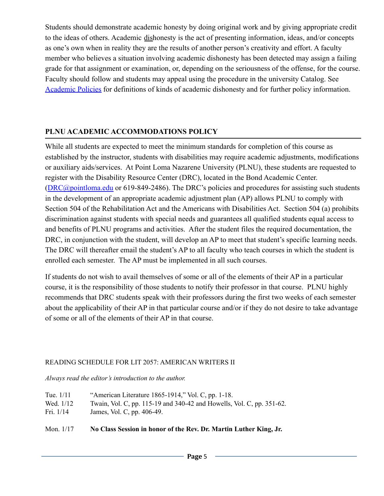Students should demonstrate academic honesty by doing original work and by giving appropriate credit to the ideas of others. Academic dishonesty is the act of presenting information, ideas, and/or concepts as one's own when in reality they are the results of another person's creativity and effort. A faculty member who believes a situation involving academic dishonesty has been detected may assign a failing grade for that assignment or examination, or, depending on the seriousness of the offense, for the course. Faculty should follow and students may appeal using the procedure in the university Catalog. See [Academic Policies](http://catalog.pointloma.edu/content.php?catoid=18&navoid=1278) for definitions of kinds of academic dishonesty and for further policy information.

## **PLNU ACADEMIC ACCOMMODATIONS POLICY**

While all students are expected to meet the minimum standards for completion of this course as established by the instructor, students with disabilities may require academic adjustments, modifications or auxiliary aids/services. At Point Loma Nazarene University (PLNU), these students are requested to register with the Disability Resource Center (DRC), located in the Bond Academic Center. ([DRC@pointloma.edu](mailto:DRC@pointloma.edu) or 619-849-2486). The DRC's policies and procedures for assisting such students in the development of an appropriate academic adjustment plan (AP) allows PLNU to comply with Section 504 of the Rehabilitation Act and the Americans with Disabilities Act. Section 504 (a) prohibits discrimination against students with special needs and guarantees all qualified students equal access to and benefits of PLNU programs and activities. After the student files the required documentation, the DRC, in conjunction with the student, will develop an AP to meet that student's specific learning needs. The DRC will thereafter email the student's AP to all faculty who teach courses in which the student is enrolled each semester. The AP must be implemented in all such courses.

If students do not wish to avail themselves of some or all of the elements of their AP in a particular course, it is the responsibility of those students to notify their professor in that course. PLNU highly recommends that DRC students speak with their professors during the first two weeks of each semester about the applicability of their AP in that particular course and/or if they do not desire to take advantage of some or all of the elements of their AP in that course.

#### READING SCHEDULE FOR LIT 2057: AMERICAN WRITERS II

*Always read the editor's introduction to the author.*

| Wed. 1/12   | Twain, Vol. C, pp. 115-19 and 340-42 and Howells, Vol. C, pp. 351-62. |
|-------------|-----------------------------------------------------------------------|
| Fri. $1/14$ | James, Vol. C, pp. 406-49.                                            |
| Mon. $1/17$ | No Class Session in honor of the Rev. Dr. Martin Luther King, Jr.     |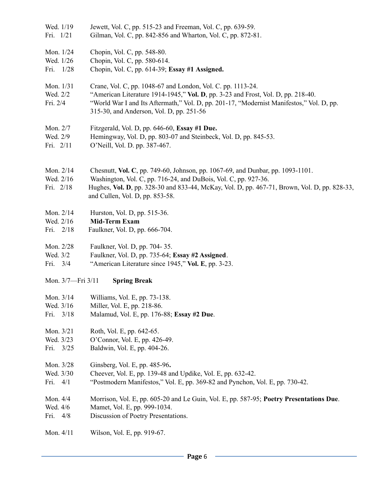- Wed. 1/19 Jewett, Vol. C, pp. 515-23 and Freeman, Vol. C, pp. 639-59. Fri. 1/21 Gilman, Vol. C, pp. 842-856 and Wharton, Vol. C, pp. 872-81.
- Mon. 1/24 Chopin, Vol. C, pp. 548-80.
- Wed. 1/26 Chopin, Vol. C, pp. 580-614.

Fri. 1/28 Chopin, Vol. C, pp. 614-39; **Essay #1 Assigned.**

- Mon. 1/31 Crane, Vol. C, pp. 1048-67 and London, Vol. C. pp. 1113-24.
- Wed. 2/2 "American Literature 1914-1945," **Vol. D**, pp. 3-23 and Frost, Vol. D, pp. 218-40.
- Fri. 2/4 "World War I and Its Aftermath," Vol. D, pp. 201-17, "Modernist Manifestos," Vol. D, pp. 315-30, and Anderson, Vol. D, pp. 251-56
- Mon. 2/7 Fitzgerald, Vol. D, pp. 646-60, **Essay #1 Due.**
- Wed. 2/9 Hemingway, Vol. D, pp. 803-07 and Steinbeck, Vol. D, pp. 845-53.
- Fri. 2/11 O'Neill, Vol. D. pp. 387-467.
- Mon. 2/14 Chesnutt, **Vol. C**, pp. 749-60, Johnson, pp. 1067-69, and Dunbar, pp. 1093-1101.
- Wed. 2/16 Washington, Vol. C, pp. 716-24, and DuBois, Vol. C, pp. 927-36.
- Fri. 2/18 Hughes, **Vol. D**, pp. 328-30 and 833-44, McKay, Vol. D, pp. 467-71, Brown, Vol. D, pp. 828-33, and Cullen, Vol. D, pp. 853-58.
- Mon. 2/14 Hurston, Vol. D, pp. 515-36.
- Wed. 2/16 **Mid-Term Exam**
- Fri. 2/18 Faulkner, Vol. D, pp. 666-704.
- Mon. 2/28 Faulkner, Vol. D, pp. 704- 35.
- Wed. 3/2 Faulkner, Vol. D, pp. 735-64; **Essay #2 Assigned**.
- Fri. 3/4 "American Literature since 1945," **Vol. E**, pp. 3-23.
- Mon. 3/7—Fri 3/11 **Spring Break**
- Mon. 3/14 Williams, Vol. E, pp. 73-138.
- Wed. 3/16 Miller, Vol. E, pp. 218-86.
- Fri. 3/18 Malamud, Vol. E, pp. 176-88; **Essay #2 Due**.
- Mon. 3/21 Roth, Vol. E, pp. 642-65.
- Wed. 3/23 O'Connor, Vol. E, pp. 426-49.
- Fri. 3/25 Baldwin, Vol. E, pp. 404-26.
- Mon. 3/28 Ginsberg, Vol. E, pp. 485-96**.**
- Wed. 3/30 Cheever, Vol. E, pp. 139-48 and Updike, Vol. E, pp. 632-42.
- Fri. 4/1 "Postmodern Manifestos," Vol. E, pp. 369-82 and Pynchon, Vol. E, pp. 730-42.
- Mon. 4/4 Morrison, Vol. E, pp. 605-20 and Le Guin, Vol. E, pp. 587-95; **Poetry Presentations Due**.
- Wed. 4/6 Mamet, Vol. E, pp. 999-1034.
- Fri. 4/8 Discussion of Poetry Presentations.

Mon. 4/11 Wilson, Vol. E, pp. 919-67.